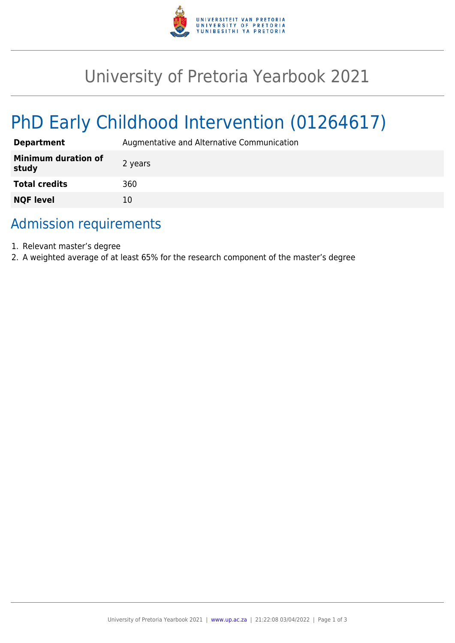

## University of Pretoria Yearbook 2021

# PhD Early Childhood Intervention (01264617)

| <b>Department</b>                   | Augmentative and Alternative Communication |
|-------------------------------------|--------------------------------------------|
| <b>Minimum duration of</b><br>study | 2 years                                    |
| <b>Total credits</b>                | 360                                        |
| <b>NQF level</b>                    | 10                                         |

### Admission requirements

- 1. Relevant master's degree
- 2. A weighted average of at least 65% for the research component of the master's degree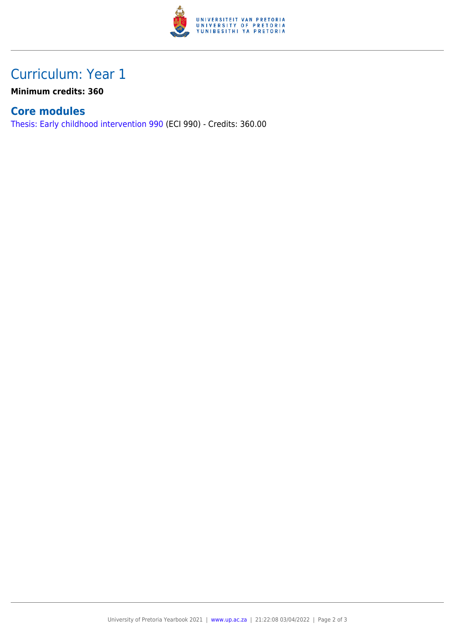

## Curriculum: Year 1

**Minimum credits: 360**

#### **Core modules**

[Thesis: Early childhood intervention 990](https://www.up.ac.za/parents/yearbooks/2021/modules/view/ECI 990) (ECI 990) - Credits: 360.00